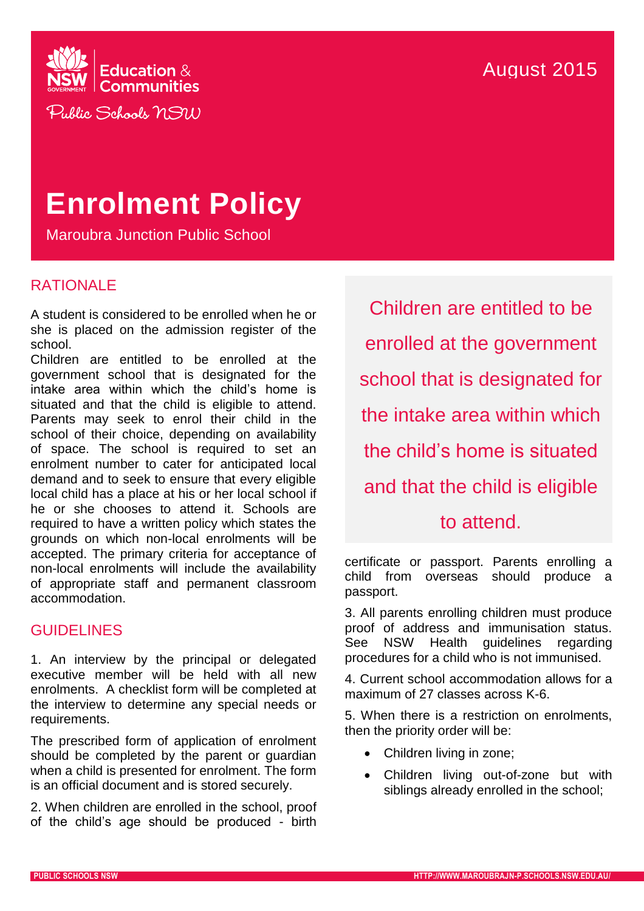

# **Enrolment Policy**

Maroubra Junction Public School

## RATIONALE

A student is considered to be enrolled when he or she is placed on the admission register of the school.

Children are entitled to be enrolled at the government school that is designated for the intake area within which the child's home is situated and that the child is eligible to attend. Parents may seek to enrol their child in the school of their choice, depending on availability of space. The school is required to set an enrolment number to cater for anticipated local demand and to seek to ensure that every eligible local child has a place at his or her local school if he or she chooses to attend it. Schools are required to have a written policy which states the grounds on which non-local enrolments will be accepted. The primary criteria for acceptance of non-local enrolments will include the availability of appropriate staff and permanent classroom accommodation.

## **GUIDELINES**

1. An interview by the principal or delegated executive member will be held with all new enrolments. A checklist form will be completed at the interview to determine any special needs or requirements.

The prescribed form of application of enrolment should be completed by the parent or guardian when a child is presented for enrolment. The form is an official document and is stored securely.

2. When children are enrolled in the school, proof of the child's age should be produced - birth

Children are entitled to be enrolled at the government school that is designated for the intake area within which the child's home is situated and that the child is eligible to attend.

certificate or passport. Parents enrolling a child from overseas should produce a passport.

3. All parents enrolling children must produce proof of address and immunisation status. See NSW Health guidelines regarding procedures for a child who is not immunised.

4. Current school accommodation allows for a maximum of 27 classes across K-6.

5. When there is a restriction on enrolments, then the priority order will be:

- Children living in zone;
- Children living out-of-zone but with siblings already enrolled in the school;